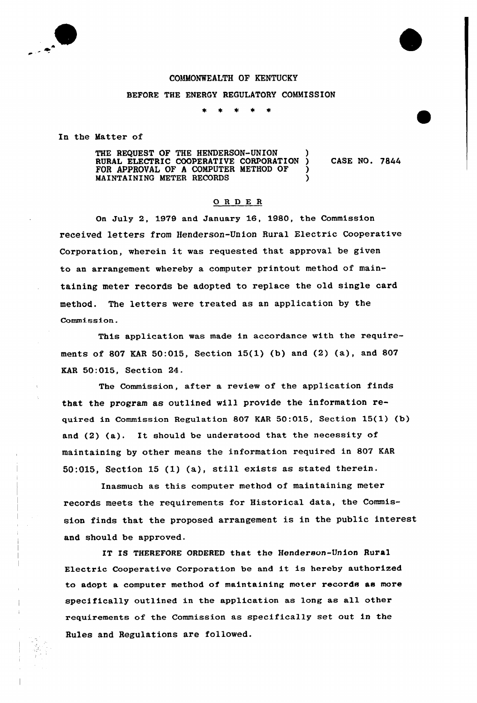

## COMMONWEALTH OF KENTUCKY

## BEFORE THE ENERGY REGULATORY COMMISSION

In the Matter of

THE REQUEST OF THE HENDERSON-UNION ) RURAL ELECTRIC COOPERATIVE CORPORATION ) CASE NO. 7844 FOR APPROVAL OF A COMPUTER METHOD OF ) MAINTAINING METER RECORDS )

## ORDE <sup>R</sup>

On July 2, 1979 and January 16, 1980, the Commission received letters from Henderson-Union Rural Electric Cooperative Corporation, wherein it was requested that approval be given to an arrangement whereby a computer printout method of maintaining meter records be adopted to replace the old single card method. The letters were treated as an application by the Commission.

This application was made in accordance with the requirements of 807 KAR 50:015, Section 15(1) (b) and (2) (a), and 807 KAR 50:015, Section 24.

The Commission, after a review of the application finds that the program as outlined will provide the information required in Commission Regulation 807 KAR 50:015, Section 15(l) (b) and (2) (a}. It should be understood that the necessity of maintaining by other means the information required in 807 KAR 50:015, Section <sup>15</sup> (1) (a), still exists as stated therein.

Inasmuch as this computer method of maintaining meter records meets the requirements for Historical data, the Commission finds that the proposed arrangement is in the public interest and should be approved.

IT IS THEREFORE ORDERED that the Henderson-Union Rural Electric Cooperative Corporation be and it is hereby authorized to adopt a computer method of maintaining meter records as more specifically outlined in the application as long as all other requirements of the Commission as specifically set out in the Rules and Regulations are followed.